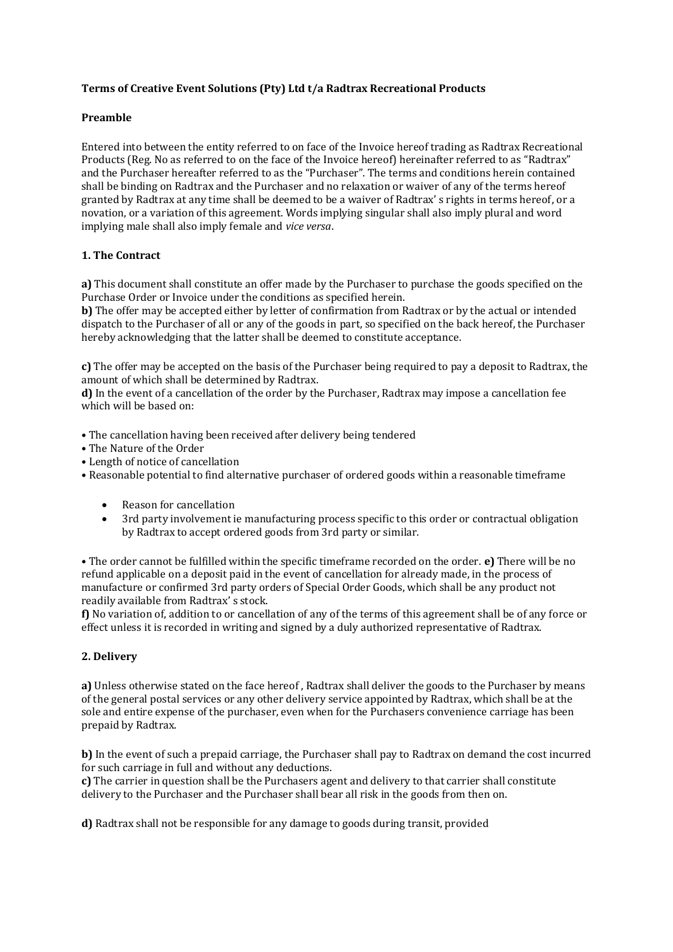# **Terms of Creative Event Solutions (Pty) Ltd t/a Radtrax Recreational Products**

## **Preamble**

Entered into between the entity referred to on face of the Invoice hereof trading as Radtrax Recreational Products (Reg. No as referred to on the face of the Invoice hereof) hereinafter referred to as "Radtrax" and the Purchaser hereafter referred to as the "Purchaser". The terms and conditions herein contained shall be binding on Radtrax and the Purchaser and no relaxation or waiver of any of the terms hereof granted by Radtrax at any time shall be deemed to be a waiver of Radtrax' s rights in terms hereof, or a novation, or a variation of this agreement. Words implying singular shall also imply plural and word implying male shall also imply female and *vice versa*.

## **1. The Contract**

**a)** This document shall constitute an offer made by the Purchaser to purchase the goods specified on the Purchase Order or Invoice under the conditions as specified herein.

**b)** The offer may be accepted either by letter of confirmation from Radtrax or by the actual or intended dispatch to the Purchaser of all or any of the goods in part, so specified on the back hereof, the Purchaser hereby acknowledging that the latter shall be deemed to constitute acceptance.

**c)** The offer may be accepted on the basis of the Purchaser being required to pay a deposit to Radtrax, the amount of which shall be determined by Radtrax.

**d)** In the event of a cancellation of the order by the Purchaser, Radtrax may impose a cancellation fee which will be based on:

• The cancellation having been received after delivery being tendered

- The Nature of the Order
- Length of notice of cancellation

• Reasonable potential to find alternative purchaser of ordered goods within a reasonable timeframe

- Reason for cancellation
- 3rd party involvement ie manufacturing process specific to this order or contractual obligation by Radtrax to accept ordered goods from 3rd party or similar.

• The order cannot be fulfilled within the specific timeframe recorded on the order. **e)** There will be no refund applicable on a deposit paid in the event of cancellation for already made, in the process of manufacture or confirmed 3rd party orders of Special Order Goods, which shall be any product not readily available from Radtrax' s stock.

**f)** No variation of, addition to or cancellation of any of the terms of this agreement shall be of any force or effect unless it is recorded in writing and signed by a duly authorized representative of Radtrax.

## **2. Delivery**

**a)** Unless otherwise stated on the face hereof , Radtrax shall deliver the goods to the Purchaser by means of the general postal services or any other delivery service appointed by Radtrax, which shall be at the sole and entire expense of the purchaser, even when for the Purchasers convenience carriage has been prepaid by Radtrax.

**b)** In the event of such a prepaid carriage, the Purchaser shall pay to Radtrax on demand the cost incurred for such carriage in full and without any deductions.

**c)** The carrier in question shall be the Purchasers agent and delivery to that carrier shall constitute delivery to the Purchaser and the Purchaser shall bear all risk in the goods from then on.

**d)** Radtrax shall not be responsible for any damage to goods during transit, provided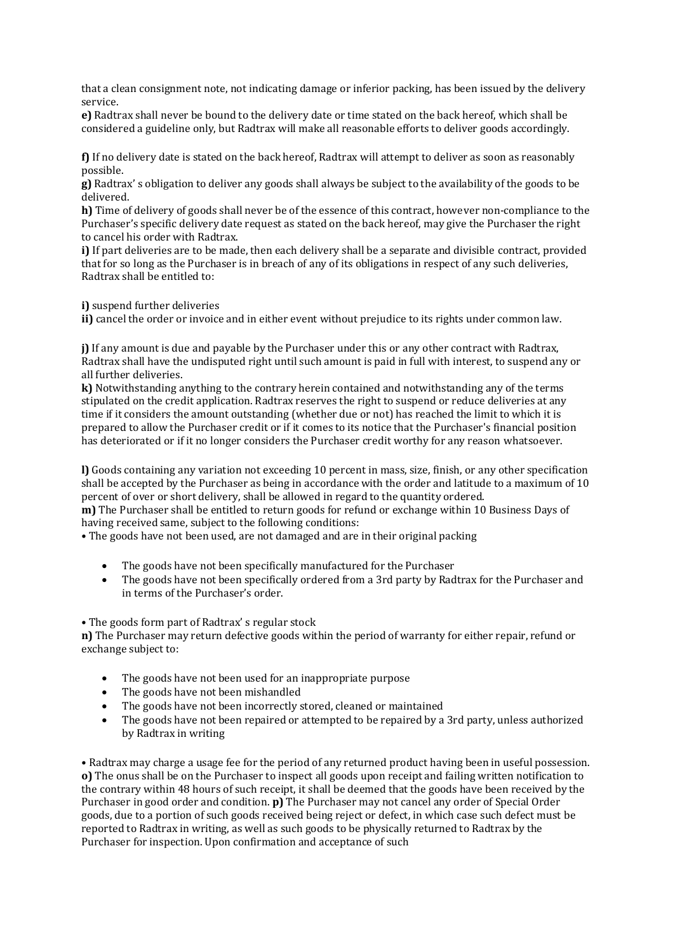that a clean consignment note, not indicating damage or inferior packing, has been issued by the delivery service.

**e)** Radtrax shall never be bound to the delivery date or time stated on the back hereof, which shall be considered a guideline only, but Radtrax will make all reasonable efforts to deliver goods accordingly.

**f)** If no delivery date is stated on the back hereof, Radtrax will attempt to deliver as soon as reasonably possible.

**g)** Radtrax' s obligation to deliver any goods shall always be subject to the availability of the goods to be delivered.

**h)** Time of delivery of goods shall never be of the essence of this contract, however non-compliance to the Purchaser's specific delivery date request as stated on the back hereof, may give the Purchaser the right to cancel his order with Radtrax.

**i)** If part deliveries are to be made, then each delivery shall be a separate and divisible contract, provided that for so long as the Purchaser is in breach of any of its obligations in respect of any such deliveries, Radtrax shall be entitled to:

**i)** suspend further deliveries

**ii)** cancel the order or invoice and in either event without prejudice to its rights under common law.

**j)** If any amount is due and payable by the Purchaser under this or any other contract with Radtrax, Radtrax shall have the undisputed right until such amount is paid in full with interest, to suspend any or all further deliveries.

**k)** Notwithstanding anything to the contrary herein contained and notwithstanding any of the terms stipulated on the credit application. Radtrax reserves the right to suspend or reduce deliveries at any time if it considers the amount outstanding (whether due or not) has reached the limit to which it is prepared to allow the Purchaser credit or if it comes to its notice that the Purchaser's financial position has deteriorated or if it no longer considers the Purchaser credit worthy for any reason whatsoever.

**l)** Goods containing any variation not exceeding 10 percent in mass, size, finish, or any other specification shall be accepted by the Purchaser as being in accordance with the order and latitude to a maximum of 10 percent of over or short delivery, shall be allowed in regard to the quantity ordered.

**m)** The Purchaser shall be entitled to return goods for refund or exchange within 10 Business Days of having received same, subject to the following conditions:

• The goods have not been used, are not damaged and are in their original packing

- The goods have not been specifically manufactured for the Purchaser
- The goods have not been specifically ordered from a 3rd party by Radtrax for the Purchaser and in terms of the Purchaser's order.

• The goods form part of Radtrax' s regular stock

**n)** The Purchaser may return defective goods within the period of warranty for either repair, refund or exchange subject to:

- The goods have not been used for an inappropriate purpose
- The goods have not been mishandled
- The goods have not been incorrectly stored, cleaned or maintained
- The goods have not been repaired or attempted to be repaired by a 3rd party, unless authorized by Radtrax in writing

• Radtrax may charge a usage fee for the period of any returned product having been in useful possession. **o)** The onus shall be on the Purchaser to inspect all goods upon receipt and failing written notification to the contrary within 48 hours of such receipt, it shall be deemed that the goods have been received by the Purchaser in good order and condition. **p)** The Purchaser may not cancel any order of Special Order goods, due to a portion of such goods received being reject or defect, in which case such defect must be reported to Radtrax in writing, as well as such goods to be physically returned to Radtrax by the Purchaser for inspection. Upon confirmation and acceptance of such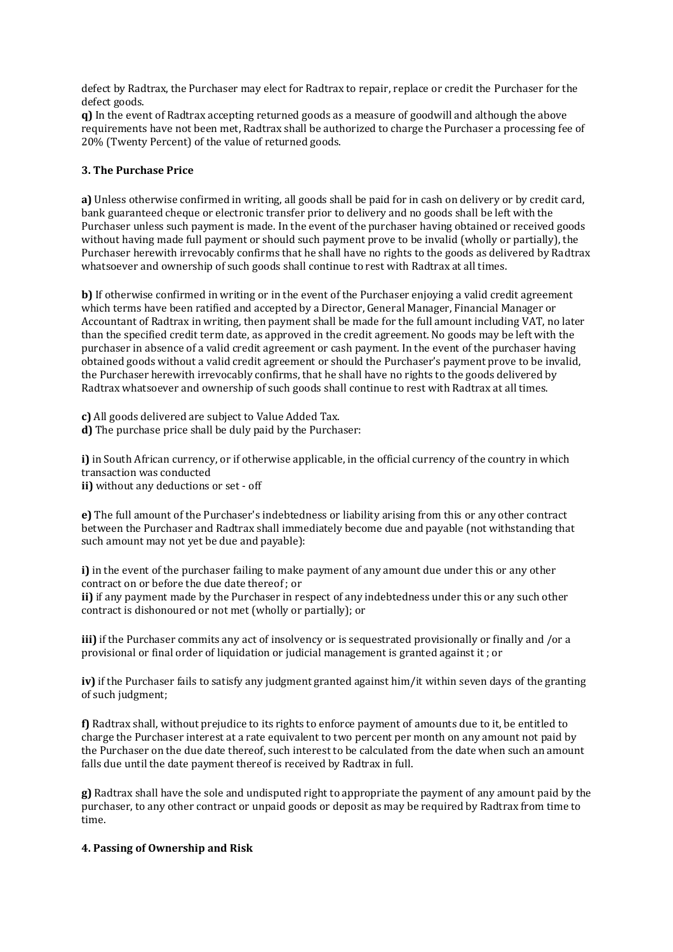defect by Radtrax, the Purchaser may elect for Radtrax to repair, replace or credit the Purchaser for the defect goods.

**q)** In the event of Radtrax accepting returned goods as a measure of goodwill and although the above requirements have not been met, Radtrax shall be authorized to charge the Purchaser a processing fee of 20% (Twenty Percent) of the value of returned goods.

## **3. The Purchase Price**

**a)** Unless otherwise confirmed in writing, all goods shall be paid for in cash on delivery or by credit card, bank guaranteed cheque or electronic transfer prior to delivery and no goods shall be left with the Purchaser unless such payment is made. In the event of the purchaser having obtained or received goods without having made full payment or should such payment prove to be invalid (wholly or partially), the Purchaser herewith irrevocably confirms that he shall have no rights to the goods as delivered by Radtrax whatsoever and ownership of such goods shall continue to rest with Radtrax at all times.

**b)** If otherwise confirmed in writing or in the event of the Purchaser enjoying a valid credit agreement which terms have been ratified and accepted by a Director, General Manager, Financial Manager or Accountant of Radtrax in writing, then payment shall be made for the full amount including VAT, no later than the specified credit term date, as approved in the credit agreement. No goods may be left with the purchaser in absence of a valid credit agreement or cash payment. In the event of the purchaser having obtained goods without a valid credit agreement or should the Purchaser's payment prove to be invalid, the Purchaser herewith irrevocably confirms, that he shall have no rights to the goods delivered by Radtrax whatsoever and ownership of such goods shall continue to rest with Radtrax at all times.

**c)** All goods delivered are subject to Value Added Tax. **d)** The purchase price shall be duly paid by the Purchaser:

**i)** in South African currency, or if otherwise applicable, in the official currency of the country in which transaction was conducted **ii)** without any deductions or set - off

**e)** The full amount of the Purchaser's indebtedness or liability arising from this or any other contract between the Purchaser and Radtrax shall immediately become due and payable (not withstanding that such amount may not yet be due and payable):

**i)** in the event of the purchaser failing to make payment of any amount due under this or any other contract on or before the due date thereof ; or **ii)** if any payment made by the Purchaser in respect of any indebtedness under this or any such other contract is dishonoured or not met (wholly or partially); or

**iii)** if the Purchaser commits any act of insolvency or is sequestrated provisionally or finally and /or a provisional or final order of liquidation or judicial management is granted against it ; or

**iv)** if the Purchaser fails to satisfy any judgment granted against him/it within seven days of the granting of such judgment;

**f)** Radtrax shall, without prejudice to its rights to enforce payment of amounts due to it, be entitled to charge the Purchaser interest at a rate equivalent to two percent per month on any amount not paid by the Purchaser on the due date thereof, such interest to be calculated from the date when such an amount falls due until the date payment thereof is received by Radtrax in full.

**g)** Radtrax shall have the sole and undisputed right to appropriate the payment of any amount paid by the purchaser, to any other contract or unpaid goods or deposit as may be required by Radtrax from time to time.

### **4. Passing of Ownership and Risk**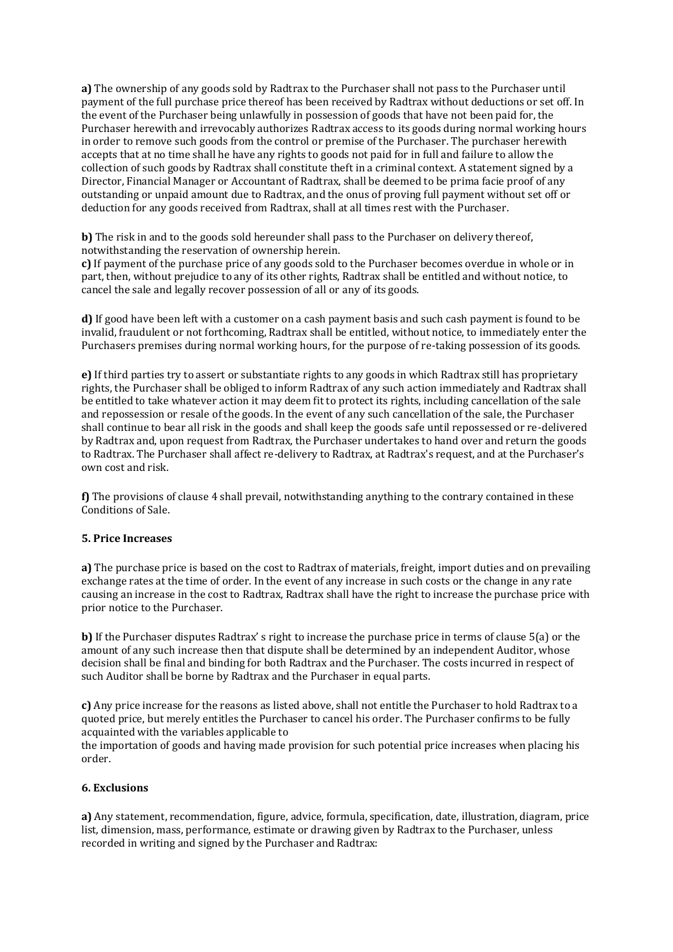**a)** The ownership of any goods sold by Radtrax to the Purchaser shall not pass to the Purchaser until payment of the full purchase price thereof has been received by Radtrax without deductions or set off. In the event of the Purchaser being unlawfully in possession of goods that have not been paid for, the Purchaser herewith and irrevocably authorizes Radtrax access to its goods during normal working hours in order to remove such goods from the control or premise of the Purchaser. The purchaser herewith accepts that at no time shall he have any rights to goods not paid for in full and failure to allow the collection of such goods by Radtrax shall constitute theft in a criminal context. A statement signed by a Director, Financial Manager or Accountant of Radtrax, shall be deemed to be prima facie proof of any outstanding or unpaid amount due to Radtrax, and the onus of proving full payment without set off or deduction for any goods received from Radtrax, shall at all times rest with the Purchaser.

**b)** The risk in and to the goods sold hereunder shall pass to the Purchaser on delivery thereof, notwithstanding the reservation of ownership herein.

**c)** If payment of the purchase price of any goods sold to the Purchaser becomes overdue in whole or in part, then, without prejudice to any of its other rights, Radtrax shall be entitled and without notice, to cancel the sale and legally recover possession of all or any of its goods.

**d)** If good have been left with a customer on a cash payment basis and such cash payment is found to be invalid, fraudulent or not forthcoming, Radtrax shall be entitled, without notice, to immediately enter the Purchasers premises during normal working hours, for the purpose of re-taking possession of its goods.

**e)** If third parties try to assert or substantiate rights to any goods in which Radtrax still has proprietary rights, the Purchaser shall be obliged to inform Radtrax of any such action immediately and Radtrax shall be entitled to take whatever action it may deem fit to protect its rights, including cancellation of the sale and repossession or resale of the goods. In the event of any such cancellation of the sale, the Purchaser shall continue to bear all risk in the goods and shall keep the goods safe until repossessed or re-delivered by Radtrax and, upon request from Radtrax, the Purchaser undertakes to hand over and return the goods to Radtrax. The Purchaser shall affect re-delivery to Radtrax, at Radtrax's request, and at the Purchaser's own cost and risk.

**f)** The provisions of clause 4 shall prevail, notwithstanding anything to the contrary contained in these Conditions of Sale.

### **5. Price Increases**

**a)** The purchase price is based on the cost to Radtrax of materials, freight, import duties and on prevailing exchange rates at the time of order. In the event of any increase in such costs or the change in any rate causing an increase in the cost to Radtrax, Radtrax shall have the right to increase the purchase price with prior notice to the Purchaser.

**b)** If the Purchaser disputes Radtrax' s right to increase the purchase price in terms of clause 5(a) or the amount of any such increase then that dispute shall be determined by an independent Auditor, whose decision shall be final and binding for both Radtrax and the Purchaser. The costs incurred in respect of such Auditor shall be borne by Radtrax and the Purchaser in equal parts.

**c)** Any price increase for the reasons as listed above, shall not entitle the Purchaser to hold Radtrax to a quoted price, but merely entitles the Purchaser to cancel his order. The Purchaser confirms to be fully acquainted with the variables applicable to

the importation of goods and having made provision for such potential price increases when placing his order.

### **6. Exclusions**

**a)** Any statement, recommendation, figure, advice, formula, specification, date, illustration, diagram, price list, dimension, mass, performance, estimate or drawing given by Radtrax to the Purchaser, unless recorded in writing and signed by the Purchaser and Radtrax: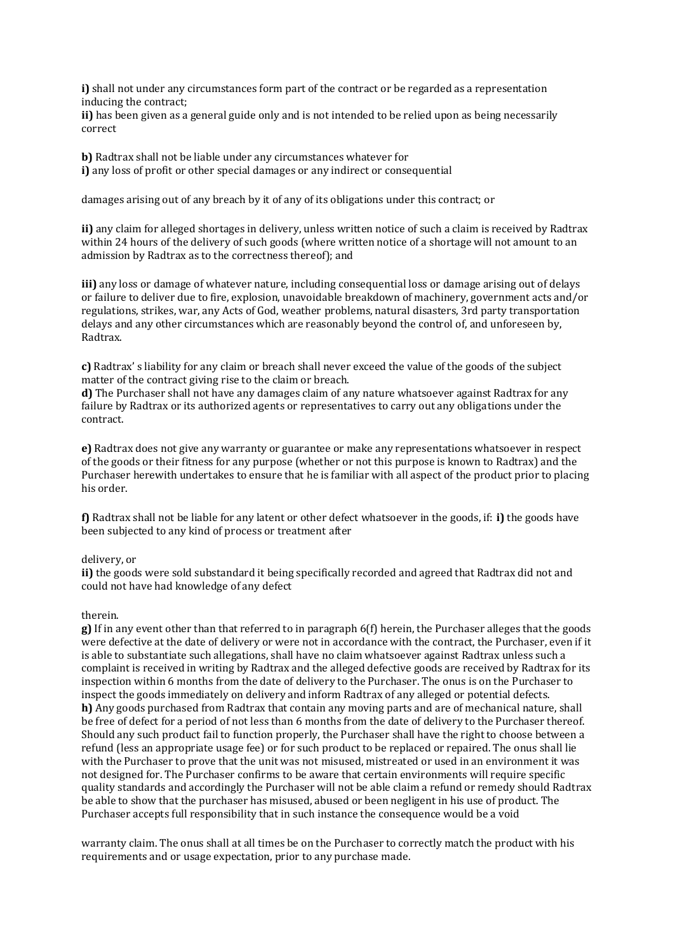**i)** shall not under any circumstances form part of the contract or be regarded as a representation inducing the contract;

**ii)** has been given as a general guide only and is not intended to be relied upon as being necessarily correct

**b)** Radtrax shall not be liable under any circumstances whatever for **i)** any loss of profit or other special damages or any indirect or consequential

damages arising out of any breach by it of any of its obligations under this contract; or

**ii)** any claim for alleged shortages in delivery, unless written notice of such a claim is received by Radtrax within 24 hours of the delivery of such goods (where written notice of a shortage will not amount to an admission by Radtrax as to the correctness thereof); and

**iii)** any loss or damage of whatever nature, including consequential loss or damage arising out of delays or failure to deliver due to fire, explosion, unavoidable breakdown of machinery, government acts and/or regulations, strikes, war, any Acts of God, weather problems, natural disasters, 3rd party transportation delays and any other circumstances which are reasonably beyond the control of, and unforeseen by, Radtrax.

**c)** Radtrax' s liability for any claim or breach shall never exceed the value of the goods of the subject matter of the contract giving rise to the claim or breach.

**d)** The Purchaser shall not have any damages claim of any nature whatsoever against Radtrax for any failure by Radtrax or its authorized agents or representatives to carry out any obligations under the contract.

**e)** Radtrax does not give any warranty or guarantee or make any representations whatsoever in respect of the goods or their fitness for any purpose (whether or not this purpose is known to Radtrax) and the Purchaser herewith undertakes to ensure that he is familiar with all aspect of the product prior to placing his order.

**f)** Radtrax shall not be liable for any latent or other defect whatsoever in the goods, if: **i)** the goods have been subjected to any kind of process or treatment after

#### delivery, or

**ii)** the goods were sold substandard it being specifically recorded and agreed that Radtrax did not and could not have had knowledge of any defect

#### therein.

**g)** If in any event other than that referred to in paragraph 6(f) herein, the Purchaser alleges that the goods were defective at the date of delivery or were not in accordance with the contract, the Purchaser, even if it is able to substantiate such allegations, shall have no claim whatsoever against Radtrax unless such a complaint is received in writing by Radtrax and the alleged defective goods are received by Radtrax for its inspection within 6 months from the date of delivery to the Purchaser. The onus is on the Purchaser to inspect the goods immediately on delivery and inform Radtrax of any alleged or potential defects. **h)** Any goods purchased from Radtrax that contain any moving parts and are of mechanical nature, shall be free of defect for a period of not less than 6 months from the date of delivery to the Purchaser thereof. Should any such product fail to function properly, the Purchaser shall have the right to choose between a refund (less an appropriate usage fee) or for such product to be replaced or repaired. The onus shall lie with the Purchaser to prove that the unit was not misused, mistreated or used in an environment it was not designed for. The Purchaser confirms to be aware that certain environments will require specific quality standards and accordingly the Purchaser will not be able claim a refund or remedy should Radtrax be able to show that the purchaser has misused, abused or been negligent in his use of product. The Purchaser accepts full responsibility that in such instance the consequence would be a void

warranty claim. The onus shall at all times be on the Purchaser to correctly match the product with his requirements and or usage expectation, prior to any purchase made.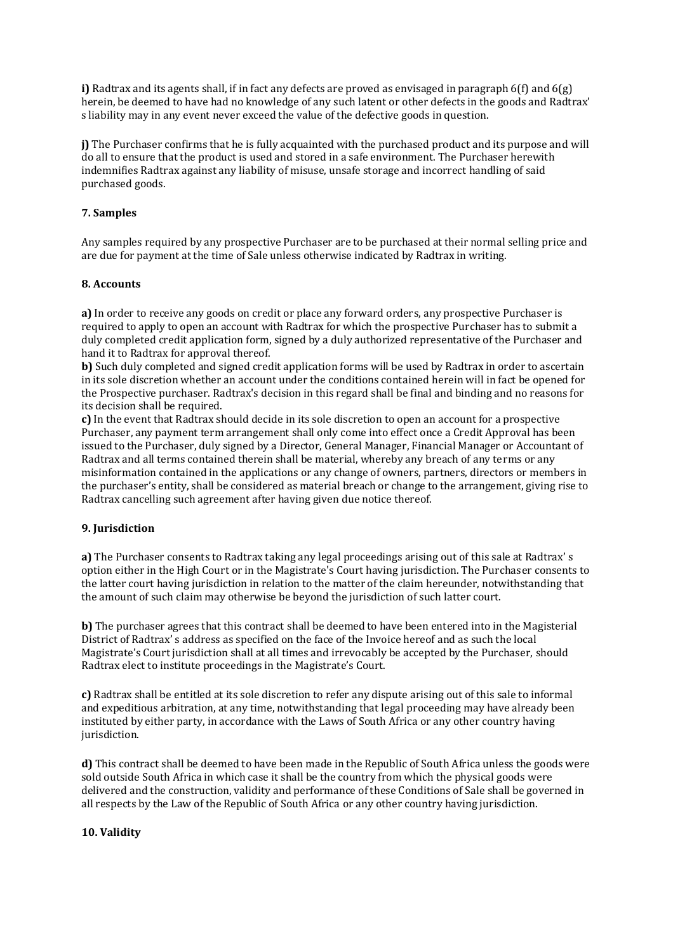**i)** Radtrax and its agents shall, if in fact any defects are proved as envisaged in paragraph 6(f) and 6(g) herein, be deemed to have had no knowledge of any such latent or other defects in the goods and Radtrax' s liability may in any event never exceed the value of the defective goods in question.

**j)** The Purchaser confirms that he is fully acquainted with the purchased product and its purpose and will do all to ensure that the product is used and stored in a safe environment. The Purchaser herewith indemnifies Radtrax against any liability of misuse, unsafe storage and incorrect handling of said purchased goods.

## **7. Samples**

Any samples required by any prospective Purchaser are to be purchased at their normal selling price and are due for payment at the time of Sale unless otherwise indicated by Radtrax in writing.

### **8. Accounts**

**a)** In order to receive any goods on credit or place any forward orders, any prospective Purchaser is required to apply to open an account with Radtrax for which the prospective Purchaser has to submit a duly completed credit application form, signed by a duly authorized representative of the Purchaser and hand it to Radtrax for approval thereof.

**b)** Such duly completed and signed credit application forms will be used by Radtrax in order to ascertain in its sole discretion whether an account under the conditions contained herein will in fact be opened for the Prospective purchaser. Radtrax's decision in this regard shall be final and binding and no reasons for its decision shall be required.

**c)** In the event that Radtrax should decide in its sole discretion to open an account for a prospective Purchaser, any payment term arrangement shall only come into effect once a Credit Approval has been issued to the Purchaser, duly signed by a Director, General Manager, Financial Manager or Accountant of Radtrax and all terms contained therein shall be material, whereby any breach of any terms or any misinformation contained in the applications or any change of owners, partners, directors or members in the purchaser's entity, shall be considered as material breach or change to the arrangement, giving rise to Radtrax cancelling such agreement after having given due notice thereof.

## **9. Jurisdiction**

**a)** The Purchaser consents to Radtrax taking any legal proceedings arising out of this sale at Radtrax' s option either in the High Court or in the Magistrate's Court having jurisdiction. The Purchaser consents to the latter court having jurisdiction in relation to the matter of the claim hereunder, notwithstanding that the amount of such claim may otherwise be beyond the jurisdiction of such latter court.

**b**) The purchaser agrees that this contract shall be deemed to have been entered into in the Magisterial District of Radtrax' s address as specified on the face of the Invoice hereof and as such the local Magistrate's Court jurisdiction shall at all times and irrevocably be accepted by the Purchaser, should Radtrax elect to institute proceedings in the Magistrate's Court.

**c)** Radtrax shall be entitled at its sole discretion to refer any dispute arising out of this sale to informal and expeditious arbitration, at any time, notwithstanding that legal proceeding may have already been instituted by either party, in accordance with the Laws of South Africa or any other country having jurisdiction.

**d)** This contract shall be deemed to have been made in the Republic of South Africa unless the goods were sold outside South Africa in which case it shall be the country from which the physical goods were delivered and the construction, validity and performance of these Conditions of Sale shall be governed in all respects by the Law of the Republic of South Africa or any other country having jurisdiction.

### **10. Validity**